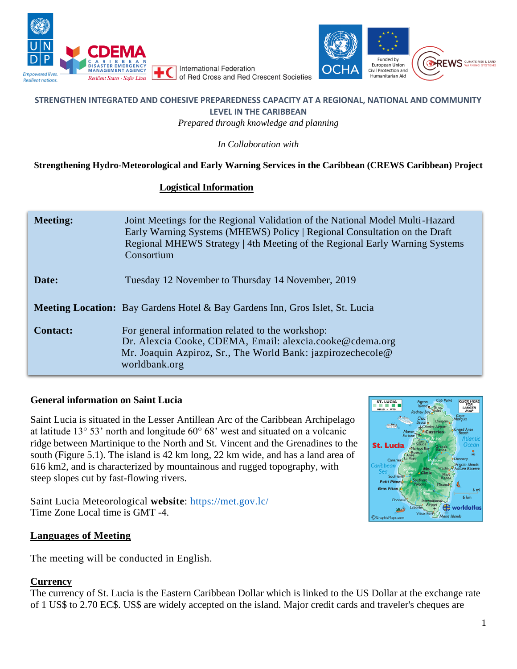



### **STRENGTHEN INTEGRATED AND COHESIVE PREPAREDNESS CAPACITY AT A REGIONAL, NATIONAL AND COMMUNITY LEVEL IN THE CARIBBEAN**

*Prepared through knowledge and planning*

*In Collaboration with* 

### **Strengthening Hydro-Meteorological and Early Warning Services in the Caribbean (CREWS Caribbean)** P**roject**

### **Logistical Information**

| <b>Meeting:</b> | Joint Meetings for the Regional Validation of the National Model Multi-Hazard<br>Early Warning Systems (MHEWS) Policy   Regional Consultation on the Draft<br>Regional MHEWS Strategy   4th Meeting of the Regional Early Warning Systems<br>Consortium |
|-----------------|---------------------------------------------------------------------------------------------------------------------------------------------------------------------------------------------------------------------------------------------------------|
| Date:           | Tuesday 12 November to Thursday 14 November, 2019                                                                                                                                                                                                       |
|                 | <b>Meeting Location:</b> Bay Gardens Hotel & Bay Gardens Inn, Gros Islet, St. Lucia                                                                                                                                                                     |
| <b>Contact:</b> | For general information related to the workshop:<br>Dr. Alexcia Cooke, CDEMA, Email: alexcia.cooke@cdema.org<br>Mr. Joaquin Azpiroz, Sr., The World Bank: jazpirozechecole@<br>worldbank.org                                                            |

### **General information on Saint Lucia**

Saint Lucia is situated in the Lesser Antillean Arc of the Caribbean Archipelago at latitude 13° 53' north and longitude 60° 68' west and situated on a volcanic ridge between Martinique to the North and St. Vincent and the Grenadines to the south (Figure 5.1). The island is 42 km long, 22 km wide, and has a land area of 616 km2, and is characterized by mountainous and rugged topography, with steep slopes cut by fast-flowing rivers.

Saint Lucia Meteorological **website**: <https://met.gov.lc/> Time Zone Local time is GMT -4.

### **Languages of Meeting**

The meeting will be conducted in English.

### **Currency**

The currency of St. Lucia is the Eastern Caribbean Dollar which is linked to the US Dollar at the exchange rate of 1 US\$ to 2.70 EC\$. US\$ are widely accepted on the island. Major credit cards and traveler's cheques are

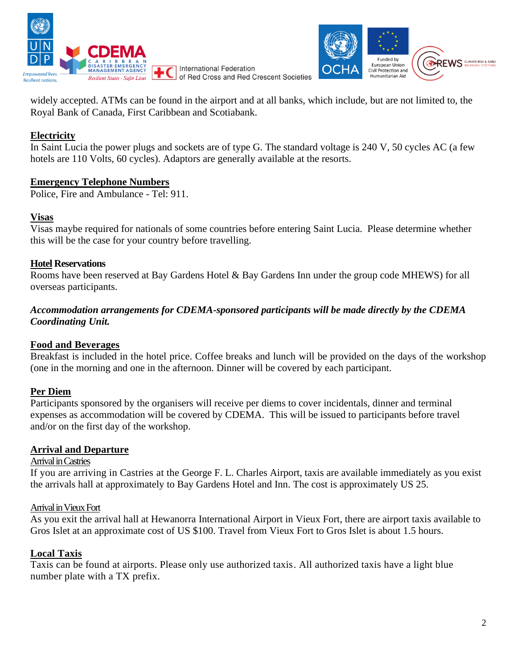



widely accepted. ATMs can be found in the airport and at all banks, which include, but are not limited to, the Royal Bank of Canada, First Caribbean and Scotiabank.

# **Electricity**

In Saint Lucia the power plugs and sockets are of type G. The standard voltage is 240 V, 50 cycles AC (a few hotels are 110 Volts, 60 cycles). Adaptors are generally available at the resorts.

### **Emergency Telephone Numbers**

Police, Fire and Ambulance - Tel: 911.

### **Visas**

Visas maybe required for nationals of some countries before entering Saint Lucia. Please determine whether this will be the case for your country before travelling.

### **Hotel Reservations**

Rooms have been reserved at Bay Gardens Hotel & Bay Gardens Inn under the group code MHEWS) for all overseas participants.

### *Accommodation arrangements for CDEMA-sponsored participants will be made directly by the CDEMA Coordinating Unit.*

## **Food and Beverages**

Breakfast is included in the hotel price. Coffee breaks and lunch will be provided on the days of the workshop (one in the morning and one in the afternoon. Dinner will be covered by each participant.

## **Per Diem**

Participants sponsored by the organisers will receive per diems to cover incidentals, dinner and terminal expenses as accommodation will be covered by CDEMA. This will be issued to participants before travel and/or on the first day of the workshop.

### **Arrival and Departure**

### Arrival inCastries

If you are arriving in Castries at the George F. L. Charles Airport, taxis are available immediately as you exist the arrivals hall at approximately to Bay Gardens Hotel and Inn. The cost is approximately US 25.

### Arrival in Vieux Fort

As you exit the arrival hall at Hewanorra International Airport in Vieux Fort, there are airport taxis available to Gros Islet at an approximate cost of US \$100. Travel from Vieux Fort to Gros Islet is about 1.5 hours.

## **Local Taxis**

Taxis can be found at airports. Please only use authorized taxis. All authorized taxis have a light blue number plate with a TX prefix.